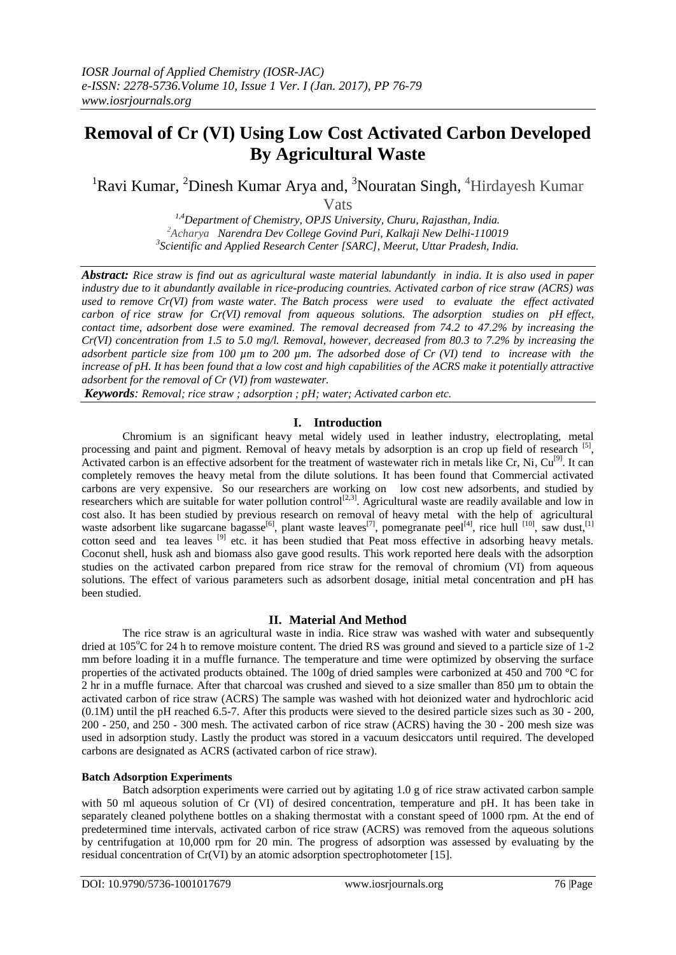# **Removal of Cr (VI) Using Low Cost Activated Carbon Developed By Agricultural Waste**

<sup>1</sup>Ravi Kumar, <sup>2</sup>Dinesh Kumar Arya and, <sup>3</sup>Nouratan Singh, <sup>4</sup>Hirdayesh Kumar

Vats

*1,4Department of Chemistry, OPJS University, Churu, Rajasthan, India. <sup>2</sup>Acharya Narendra Dev College Govind Puri, Kalkaji New Delhi-110019 3 Scientific and Applied Research Center [SARC], Meerut, Uttar Pradesh, India.*

*Abstract: Rice straw is find out as agricultural waste material labundantly in india. It is also used in paper industry due to it abundantly available in rice-producing countries. Activated carbon of rice straw (ACRS) was used to remove Cr(VI) from waste water. The Batch process were used to evaluate the effect activated carbon of rice straw for Cr(VI) removal from aqueous solutions. The adsorption studies on pH effect, contact time, adsorbent dose were examined. The removal decreased from 74.2 to 47.2% by increasing the Cr(VI) concentration from 1.5 to 5.0 mg/l. Removal, however, decreased from 80.3 to 7.2% by increasing the adsorbent particle size from 100 µm to 200 µm. The adsorbed dose of Cr (VI) tend to increase with the increase of pH. It has been found that a low cost and high capabilities of the ACRS make it potentially attractive adsorbent for the removal of Cr (VI) from wastewater.*

*Keywords: Removal; rice straw ; adsorption ; pH; water; Activated carbon etc.*

# **I. Introduction**

Chromium is an significant heavy metal widely used in leather industry, electroplating, metal processing and paint and pigment. Removal of heavy metals by adsorption is an crop up field of research [5], Activated carbon is an effective adsorbent for the treatment of wastewater rich in metals like Cr, Ni, Cu<sup>[9]</sup>. It can completely removes the heavy metal from the dilute solutions. It has been found that Commercial activated carbons are very expensive. So our researchers are working on low cost new adsorbents, and studied by researchers which are suitable for water pollution control<sup>[2,3]</sup>. Agricultural waste are readily available and low in cost also. It has been studied by previous research on removal of heavy metal with the help of agricultural waste adsorbent like sugarcane bagasse<sup>[6]</sup>, plant waste leaves<sup>[7]</sup>, pomegranate peel<sup>[4]</sup>, rice hull [10], saw dust,<sup>[1]</sup> cotton seed and tea leaves <sup>[9]</sup> etc. it has been studied that Peat moss effective in adsorbing heavy metals. Coconut shell, husk ash and biomass also gave good results. This work reported here deals with the adsorption studies on the activated carbon prepared from rice straw for the removal of chromium (VI) from aqueous solutions. The effect of various parameters such as adsorbent dosage, initial metal concentration and pH has been studied.

# **II. Material And Method**

The rice straw is an agricultural waste in india. Rice straw was washed with water and subsequently dried at  $105^{\circ}$ C for 24 h to remove moisture content. The dried RS was ground and sieved to a particle size of 1-2 mm before loading it in a muffle furnance. The temperature and time were optimized by observing the surface properties of the activated products obtained. The 100g of dried samples were carbonized at 450 and 700 °C for 2 hr in a muffle furnace. After that charcoal was crushed and sieved to a size smaller than 850 µm to obtain the activated carbon of rice straw (ACRS) The sample was washed with hot deionized water and hydrochloric acid (0.1M) until the pH reached 6.5-7. After this products were sieved to the desired particle sizes such as 30 - 200, 200 - 250, and 250 - 300 mesh. The activated carbon of rice straw (ACRS) having the 30 - 200 mesh size was used in adsorption study. Lastly the product was stored in a vacuum desiccators until required. The developed carbons are designated as ACRS (activated carbon of rice straw).

# **Batch Adsorption Experiments**

Batch adsorption experiments were carried out by agitating 1.0 g of rice straw activated carbon sample with 50 ml aqueous solution of Cr (VI) of desired concentration, temperature and pH. It has been take in separately cleaned polythene bottles on a shaking thermostat with a constant speed of 1000 rpm. At the end of predetermined time intervals, activated carbon of rice straw (ACRS) was removed from the aqueous solutions by centrifugation at 10,000 rpm for 20 min. The progress of adsorption was assessed by evaluating by the residual concentration of Cr(VI) by an atomic adsorption spectrophotometer [15].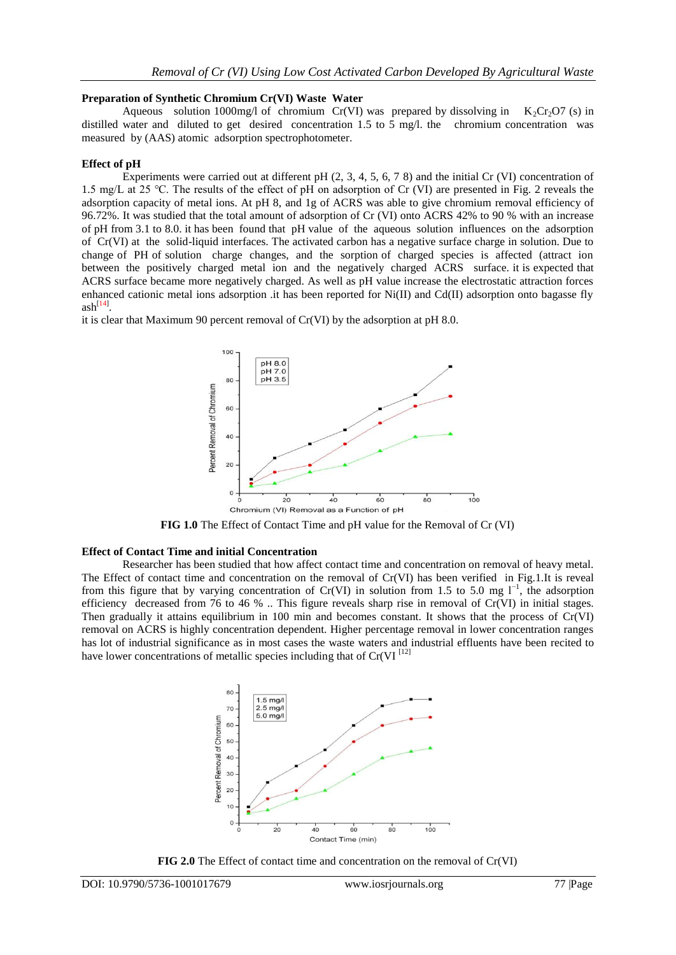## **Preparation of Synthetic Chromium Cr(VI) Waste Water**

Aqueous solution 1000mg/l of chromium Cr(VI) was prepared by dissolving in  $K_2Cr_2O7$  (s) in distilled water and diluted to get desired concentration 1.5 to 5 mg/l. the chromium concentration was measured by (AAS) atomic adsorption spectrophotometer.

## **Effect of pH**

Experiments were carried out at different pH  $(2, 3, 4, 5, 6, 7, 8)$  and the initial Cr (VI) concentration of 1.5 mg/L at 25 ℃. The results of the effect of pH on adsorption of Cr (VI) are presented in Fig. 2 reveals the adsorption capacity of metal ions. At pH 8, and 1g of ACRS was able to give chromium removal efficiency of 96.72%. It was studied that the total amount of adsorption of Cr (VI) onto ACRS 42% to 90 % with an increase of pH from 3.1 to 8.0. it has been found that pH value of the aqueous solution influences on the adsorption of Cr(VI) at the solid-liquid interfaces. The activated carbon has a negative surface charge in solution. Due to change of PH of solution charge changes, and the sorption of charged species is affected (attract ion between the positively charged metal ion and the negatively charged ACRS surface. it is expected that ACRS surface became more negatively charged. As well as pH value increase the electrostatic attraction forces enhanced cationic metal ions adsorption .it has been reported for  $Ni(II)$  and  $Cd(II)$  adsorption onto bagasse fly  $ash^{[14]}$ .

it is clear that Maximum 90 percent removal of Cr(VI) by the adsorption at pH 8.0.



**FIG 1.0** The Effect of Contact Time and pH value for the Removal of Cr (VI)

## **Effect of Contact Time and initial Concentration**

Researcher has been studied that how affect contact time and concentration on removal of heavy metal. The Effect of contact time and concentration on the removal of Cr(VI) has been verified in Fig.1.It is reveal from this figure that by varying concentration of Cr(VI) in solution from 1.5 to 5.0 mg  $1^{-1}$ , the adsorption efficiency decreased from 76 to 46 % .. This figure reveals sharp rise in removal of Cr(VI) in initial stages. Then gradually it attains equilibrium in 100 min and becomes constant. It shows that the process of Cr(VI) removal on ACRS is highly concentration dependent. Higher percentage removal in lower concentration ranges has lot of industrial significance as in most cases the waste waters and industrial effluents have been recited to have lower concentrations of metallic species including that of  $Cr(VI^{[12]}$ 



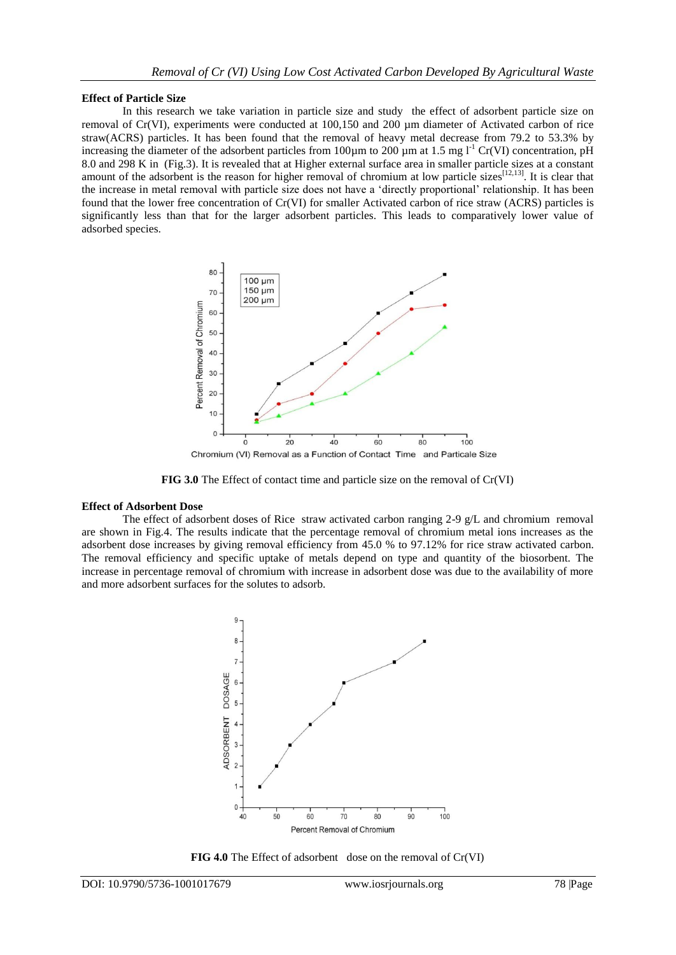#### **Effect of Particle Size**

In this research we take variation in particle size and study the effect of adsorbent particle size on removal of Cr(VI), experiments were conducted at 100,150 and 200 µm diameter of Activated carbon of rice straw(ACRS) particles. It has been found that the removal of heavy metal decrease from 79.2 to 53.3% by increasing the diameter of the adsorbent particles from 100 $\mu$ m to 200  $\mu$ m at 1.5 mg l<sup>-1</sup> Cr(VI) concentration, pH 8.0 and 298 K in (Fig.3). It is revealed that at Higher external surface area in smaller particle sizes at a constant amount of the adsorbent is the reason for higher removal of chromium at low particle sizes<sup>[12,13]</sup>. It is clear that the increase in metal removal with particle size does not have a 'directly proportional' relationship. It has been found that the lower free concentration of Cr(VI) for smaller Activated carbon of rice straw (ACRS) particles is significantly less than that for the larger adsorbent particles. This leads to comparatively lower value of adsorbed species.



**FIG 3.0** The Effect of contact time and particle size on the removal of Cr(VI)

#### **Effect of Adsorbent Dose**

The effect of adsorbent doses of Rice straw activated carbon ranging 2-9 g/L and chromium removal are shown in Fig.4. The results indicate that the percentage removal of chromium metal ions increases as the adsorbent dose increases by giving removal efficiency from 45.0 % to 97.12% for rice straw activated carbon. The removal efficiency and specific uptake of metals depend on type and quantity of the biosorbent. The increase in percentage removal of chromium with increase in adsorbent dose was due to the availability of more and more adsorbent surfaces for the solutes to adsorb.



**FIG 4.0** The Effect of adsorbent dose on the removal of Cr(VI)